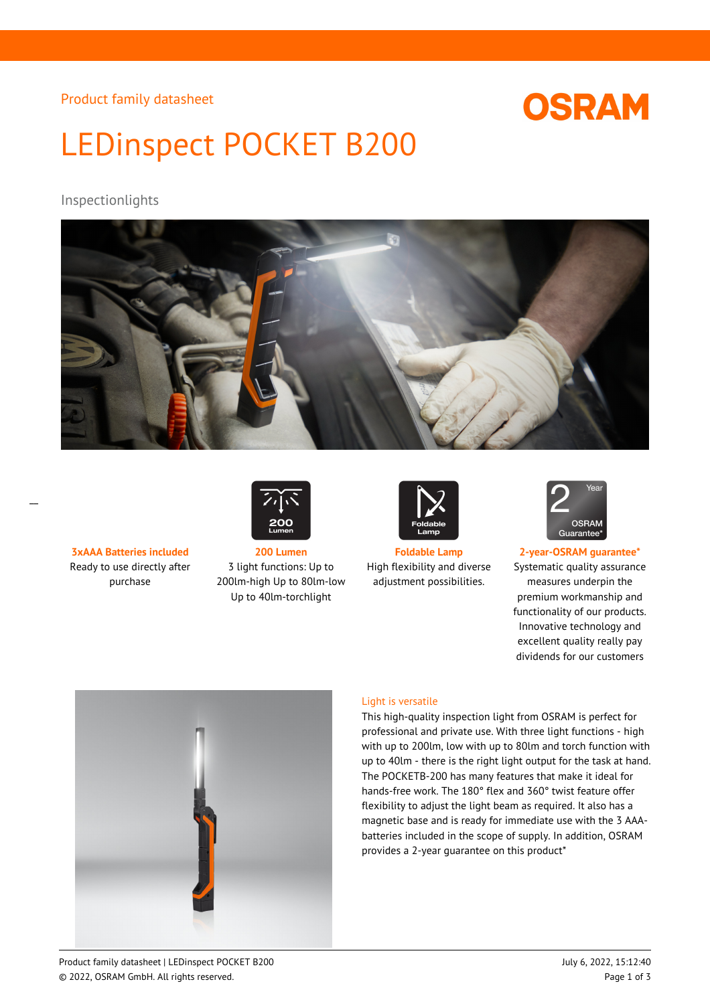Product family datasheet

# **OSRAM**

# LEDinspect POCKET B200

# Inspectionlights



Ready to use directly after purchase



**3xAAA Batteries included 200 Lumen Foldable Lamp 2-year-OSRAM guarantee\*** 3 light functions: Up to 200lm-high Up to 80lm-low Up to 40lm-torchlight



High flexibility and diverse adjustment possibilities.



Systematic quality assurance measures underpin the premium workmanship and functionality of our products. Innovative technology and excellent quality really pay dividends for our customers



#### Light is versatile

This high-quality inspection light from OSRAM is perfect for professional and private use. With three light functions - high with up to 200lm, low with up to 80lm and torch function with up to 40lm - there is the right light output for the task at hand. The POCKETB-200 has many features that make it ideal for hands-free work. The 180° flex and 360° twist feature offer flexibility to adjust the light beam as required. It also has a magnetic base and is ready for immediate use with the 3 AAAbatteries included in the scope of supply. In addition, OSRAM provides a 2-year guarantee on this product\*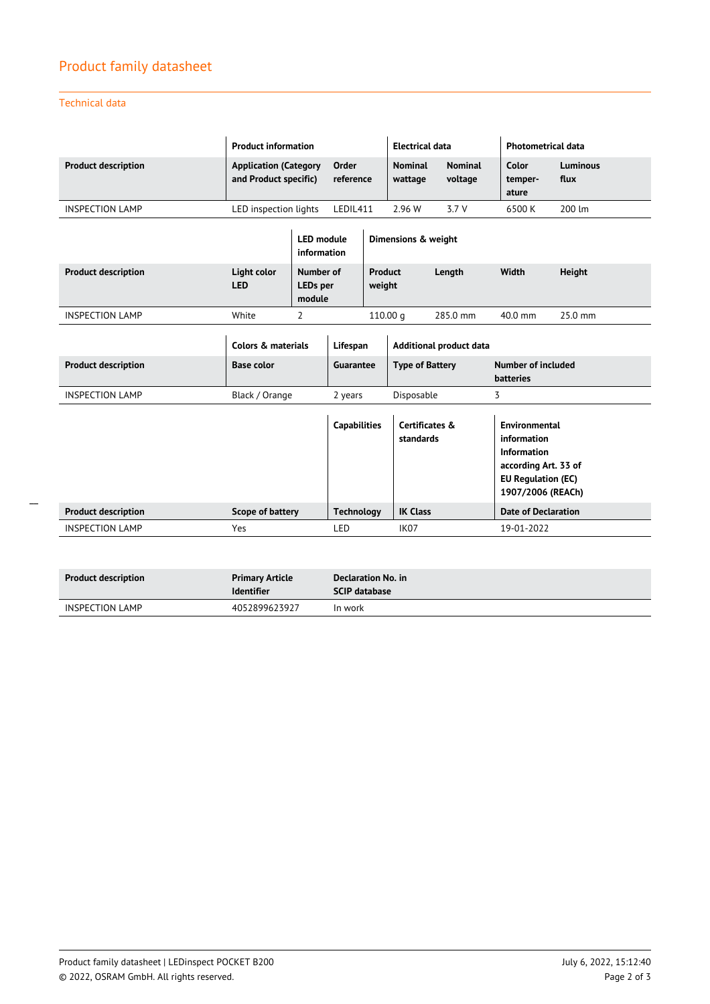# Product family datasheet

Technical data

\_\_

|                            | <b>Product information</b>                            |                                  |                          |                                     | <b>Electrical data</b>    |                             |                           | <b>Photometrical data</b>                                                                                                    |  |
|----------------------------|-------------------------------------------------------|----------------------------------|--------------------------|-------------------------------------|---------------------------|-----------------------------|---------------------------|------------------------------------------------------------------------------------------------------------------------------|--|
| <b>Product description</b> | <b>Application (Category</b><br>and Product specific) |                                  | Order<br>reference       |                                     | <b>Nominal</b><br>wattage | <b>Nominal</b><br>voltage   | Color<br>temper-<br>ature | <b>Luminous</b><br>flux                                                                                                      |  |
| <b>INSPECTION LAMP</b>     | LED inspection lights                                 |                                  | LEDIL411                 |                                     | 2.96 W                    | 3.7V                        | 6500 K                    | 200 lm                                                                                                                       |  |
|                            |                                                       | <b>LED</b> module<br>information |                          |                                     | Dimensions & weight       |                             |                           |                                                                                                                              |  |
| <b>Product description</b> | Light color<br><b>LED</b>                             | Number of<br>LEDs per<br>module  | <b>Product</b><br>weight |                                     |                           | Length                      | Width                     | Height                                                                                                                       |  |
| <b>INSPECTION LAMP</b>     | White                                                 | 2                                |                          | 110.00 <sub>a</sub>                 |                           | 285.0 mm                    | 40.0 mm                   | 25.0 mm                                                                                                                      |  |
|                            |                                                       | Colors & materials               |                          | Lifespan<br>Additional product data |                           |                             |                           |                                                                                                                              |  |
| <b>Product description</b> | <b>Base color</b>                                     |                                  |                          | Guarantee                           |                           | <b>Type of Battery</b>      |                           | <b>Number of included</b><br><b>batteries</b>                                                                                |  |
| <b>INSPECTION LAMP</b>     |                                                       | Black / Orange                   |                          | 2 years                             |                           | Disposable                  | 3                         |                                                                                                                              |  |
|                            |                                                       |                                  |                          | <b>Capabilities</b>                 |                           | Certificates &<br>standards |                           | <b>Environmental</b><br>information<br>Information<br>according Art. 33 of<br><b>EU Regulation (EC)</b><br>1907/2006 (REACh) |  |
| <b>Product description</b> |                                                       | Scope of battery                 |                          | <b>Technology</b>                   |                           | <b>IK Class</b>             |                           | <b>Date of Declaration</b>                                                                                                   |  |
| <b>INSPECTION LAMP</b>     |                                                       | Yes                              |                          | LED                                 |                           | IK <sub>07</sub>            |                           | 19-01-2022                                                                                                                   |  |

| <b>Product description</b> | <b>Primary Article</b><br><b>Identifier</b> | Declaration No. in<br><b>SCIP database</b> |
|----------------------------|---------------------------------------------|--------------------------------------------|
| <b>INSPECTION LAMP</b>     | 4052899623927                               | In work                                    |